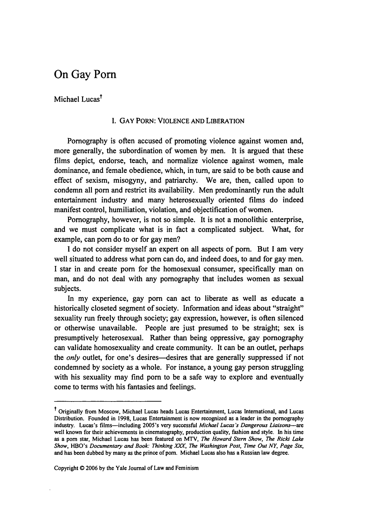## On Gay Porn

Michael Lucas<sup>†</sup>

## I. GAY PORN: VIOLENCE **AND** LIBERATION

Pornography is often accused of promoting violence against women and, more generally, the subordination of women by men. It is argued that these films depict, endorse, teach, and normalize violence against women, male dominance, and female obedience, which, in turn, are said to be both cause and effect of sexism, misogyny, and patriarchy. We are, then, called upon to condemn all porn and restrict its availability. Men predominantly run the adult entertainment industry and many heterosexually oriented films do indeed manifest control, humiliation, violation, and objectification of women.

Pornography, however, is not so simple. It is not a monolithic enterprise, and we must complicate what is in fact a complicated subject. What, for example, can porn do to or for gay men?

I do not consider myself an expert on all aspects of porn. But I am very well situated to address what porn can do, and indeed does, to and for gay men. I star in and create porn for the homosexual consumer, specifically man on man, and do not deal with any pornography that includes women as sexual subjects.

In my experience, gay porn can act to liberate as well as educate a historically closeted segment of society. Information and ideas about "straight" sexuality run freely through society; gay expression, however, is often silenced or otherwise unavailable. People are just presumed to be straight; sex is presumptively heterosexual. Rather than being oppressive, gay pornography can validate homosexuality and create community. It can be an outlet, perhaps the *only* outlet, for one's desires—desires that are generally suppressed if not condemned by society as a whole. For instance, a young gay person struggling with his sexuality may find porn to be a safe way to explore and eventually come to terms with his fantasies and feelings.

Copyright **0** 2006 by the Yale Journal of Law and Feminism

t Originally from Moscow, Michael Lucas heads Lucas Entertainment, Lucas International, and Lucas Distribution. Founded in 1998, Lucas Entertainment is now recognized as a leader in the pornography industry. Lucas's films-including 2005's very successful *Michael Lucas's Dangerous Liaisons-are* well known for their achievements in cinematography, production quality, fashion and style. In his time as a porn star, Michael Lucas has been featured on MTV, *The Howard Stern Show, The Ricki Lake Show,* HBO's *Documentary and Book: Thinking XxA, The Washington Post, Time Out NY, Page Six,* and has been dubbed by many as the prince of porn. Michael Lucas also has a Russian law degree.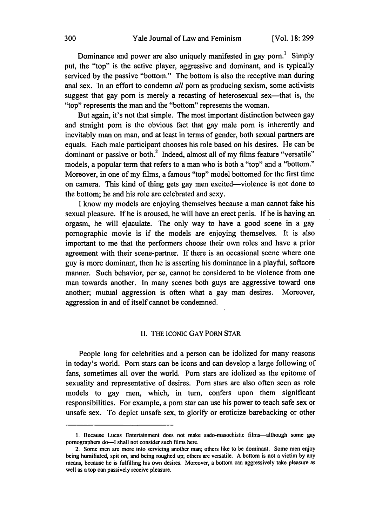Dominance and power are also uniquely manifested in gay porn.' Simply put, the "top" is the active player, aggressive and dominant, and is typically serviced by the passive "bottom." The bottom is also the receptive man during anal sex. In an effort to condemn *all* porn as producing sexism, some activists suggest that gay porn is merely a recasting of heterosexual sex—that is, the "top" represents the man and the "bottom" represents the woman.

But again, it's not that simple. The most important distinction between gay and straight porn is the obvious fact that gay male porn is inherently and inevitably man on man, and at least in terms of gender, both sexual partners are equals. Each male participant chooses his role based on his desires. He can be dominant or passive or both. $<sup>2</sup>$  Indeed, almost all of my films feature "versatile"</sup> models, a popular term that refers to a man who is both a "top" and a "bottom." Moreover, in one of my films, a famous "top" model bottomed for the first time on camera. This kind of thing gets gay men excited—violence is not done to the bottom; he and his role are celebrated and sexy.

I know my models are enjoying themselves because a man cannot fake his sexual pleasure. If he is aroused, he will have an erect penis. If he is having an orgasm, he will ejaculate. The only way to have a good scene in a gay pornographic movie is if the models are enjoying themselves. It is also important to me that the performers choose their own roles and have a prior agreement with their scene-partner. If there is an occasional scene where one guy is more dominant, then he is asserting his dominance in a playful, softcore manner. Such behavior, per se, cannot be considered to be violence from one man towards another. In many scenes both guys are aggressive toward one another; mutual aggression is often what a gay man desires. Moreover, aggression in and of itself cannot be condemned.

## II. THE IcoNIc GAY PORN STAR

People long for celebrities and a person can be idolized for many reasons in today's world. Porn stars can be icons and can develop a large following of fans, sometimes all over the world. Porn stars are idolized as the epitome of sexuality and representative of desires. Porn stars are also often seen as role models to gay men, which, in turn, confers upon them significant responsibilities. For example, a porn star can use his power to teach safe sex or unsafe sex. To depict unsafe sex, to glorify or eroticize barebacking or other

**<sup>1.</sup>** Because Lucas Entertainment does not make sado-masochistic films-although some gay pornographers do-I shall not consider such films here.

<sup>2.</sup> Some men are more into servicing another man; others like to be dominant. Some men enjoy being humiliated, spit on, and being roughed up; others are versatile. A bottom is not a victim by any means, because he is fulfilling his own desires. Moreover, a bottom can aggressively take pleasure as well as a top can passively receive pleasure.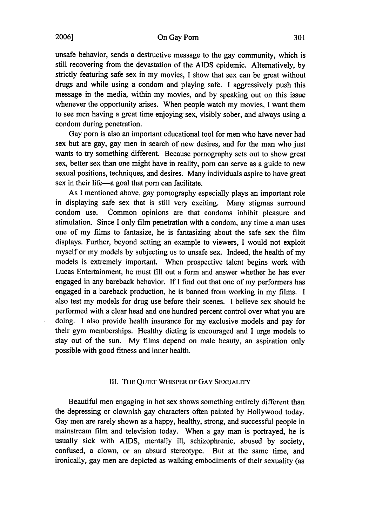On Gay Porn

unsafe behavior, sends a destructive message to the gay community, which is still recovering from the devastation of the AIDS epidemic. Alternatively, by strictly featuring safe sex in my movies, I show that sex can be great without drugs and while using a condom and playing safe. I aggressively push this message in the media, within my movies, and by speaking out on this issue whenever the opportunity arises. When people watch my movies, I want them to see men having a great time enjoying sex, visibly sober, and always using a condom during penetration.

Gay porn is also an important educational tool for men who have never had sex but are gay, gay men in search of new desires, and for the man who just wants to try something different. Because pornography sets out to show great sex, better sex than one might have in reality, porn can serve as a guide to new sexual positions, techniques, and desires. Many individuals aspire to have great sex in their life-a goal that porn can facilitate.

As I mentioned above, gay pornography especially plays an important role in displaying safe sex that is still very exciting. Many stigmas surround condom use. Common opinions are that condoms inhibit pleasure and stimulation. Since I only film penetration with a condom, any time a man uses one of my films to fantasize, he is fantasizing about the safe sex the film displays. Further, beyond setting an example to viewers, I would not exploit myself or my models by subjecting us to unsafe sex. Indeed, the health of my models is extremely important. When prospective talent begins work with Lucas Entertainment, he must fill out a form and answer whether he has ever engaged in any bareback behavior. If I find out that one of my performers has engaged in a bareback production, he is banned from working in my films. I also test my models for drug use before their scenes. I believe sex should be performed with a clear head and one hundred percent control over what you are doing. I also provide health insurance for my exclusive models and pay for their gym memberships. Healthy dieting is encouraged and I urge models to stay out of the sun. My films depend on male beauty, an aspiration only possible with good fitness and inner health.

## III. THE QUIET WHISPER OF GAY SEXUALITY

Beautiful men engaging in hot sex shows something entirely different than the depressing or clownish gay characters often painted by Hollywood today. Gay men are rarely shown as a happy, healthy, strong, and successful people in mainstream film and television today. When a gay man is portrayed, he is usually sick with AIDS, mentally ill, schizophrenic, abused by society, confused, a clown, or an absurd stereotype. But at the same time, and ironically, gay men are depicted as walking embodiments of their sexuality (as